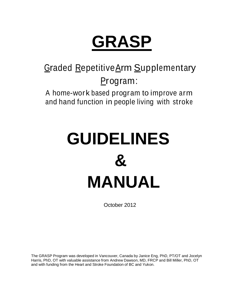# **GRASP**

# Graded RepetitiveArm Supplementary Program:

 A home-work based program to improve arm and hand function in people living with stroke

# **GUIDELINES & MANUAL**

October 2012

The GRASP Program was developed in Vancouver, Canada by Janice Eng, PhD, PT/OT and Jocelyn Harris, PhD, OT with valuable assistance from Andrew Dawson, MD, FRCP and Bill Miller, PhD, OT and with funding from the Heart and Stroke Foundation of BC and Yukon.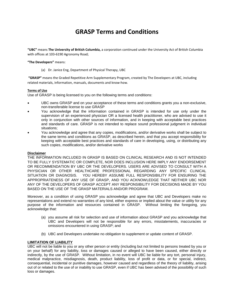## **GRASP Terms and Conditions**

**"UBC"** means **The University of British Columbia,** a corporation continued under the University Act of British Columbia with offices at 103-6190 Agronomy Road;

#### **"The Developers"** means:

(a) Dr. Janice Eng, Department of Physical Therapy, UBC

**"GRASP"** means the Graded Repetitive Arm Supplementary Program, created by The Developers at UBC, including related materials, information, manuals, documents and know-how.

#### **Terms of Use**

Use of GRASP is being licensed to you on the following terms and conditions:

- UBC owns GRASP and on your acceptance of these terms and conditions grants you a non-exclusive, non-transferable license to use GRASP
- You acknowledge that the information contained in GRASP is intended for use only under the supervision of an experienced physician OR a licensed health practitioner, who are advised to use it only in conjunction with other sources of information, and in keeping with acceptable best practices and standards of care. GRASP is not intended to replace sound professional judgment in individual situations;
- You acknowledge and agree that any copies, modifications, and/or derivative works shall be subject to the same terms and conditions as GRASP, as described herein, and that you accept responsibility for keeping with acceptable best practices and standards of care in developing, using, or distributing any such copies, modifications, and/or derivative works

#### **Disclaimer**

THE INFORMATION INCLUDED IN GRASP IS BASED ON CLINICAL RESEARCH AND IS NOT INTENDED TO BE FULLY SYSTEMATIC OR COMPLETE, NOR DOES INCLUSION HERE IMPLY ANY ENDORSEMENT OR RECOMMENDATION BY UBC OR THE DEVELOPERS. USERS ARE ADVISED TO CONSULT WITH A PHYSICIAN OR OTHER HEALTHCARE PROFESSIONAL REGARDING ANY SPECIFIC CLINICAL SITUATION OR DIAGNOSIS. YOU HEREBY ASSUME FULL RESPONSIBILITY FOR ENSURING THE APPROPRIATENESS OF ANY USE OF GRASP, AND YOU ACKNOWLEDGE THAT NEITHER UBC NOR ANY OF THE DEVELOPERS OF GRASP ACCEPT ANY RESPONSIBILITY FOR DECISIONS MADE BY YOU BASED ON THE USE OF THE GRASP MATERIALS AND/OR PROGRAM.

Moreover, as a condition of using GRASP you acknowledge and agree that UBC and Developers make no representations and extend no warranties of any kind, either express or implied about the value or utility for any purpose of the information and resources contained in GRASP. Without limiting the foregoing, you acknowledge that:

- (a) you assume all risk for selection and use of information about GRASP and you acknowledge that UBC and Developers will not be responsible for any errors, misstatements, inaccuracies or omissions encountered in using GRASP; and
- (b) UBC and Developers undertake no obligation to supplement or update content of GRASP.

#### **LIMITATION OF LIABILITY**

UBC will not be liable to you or any other person or entity (including but not limited to persons treated by you or on your behalf) for any liability, loss or damages caused or alleged to have been caused, either directly or indirectly, by the use of GRASP. Without limitation, in no event will UBC be liable for any tort, personal injury, medical malpractice, misdiagnosis, death, product liability, loss of profit or data, or for special, indirect, consequential, incidental or punitive damages, however caused and regardless of the theory of liability, arising out of or related to the use of or inability to use GRASP, even if UBC has been advised of the possibility of such loss or damages.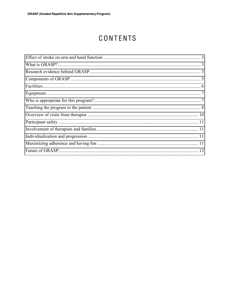# CONTENTS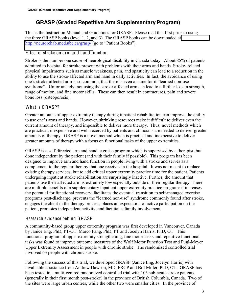### **GRASP (Graded Repetitive Arm Supplementary Program)**

This is the Instruction Manual and Guidelines for GRASP. Please read this first prior to using the three GRASP books (level 1, 2, and 3). The GRASP books can be downloaded at <http://neurorehab.med.ubc.ca/grasp/> (go to "Patient Books").

#### <span id="page-3-0"></span>Effect of stroke on arm and hand function

Stroke is the number one cause of neurological disability in Canada today. About 85% of patients admitted to hospital for stroke present with problems with their arms and hands. Stroke- related physical impairments such as muscle weakness, pain, and spasticity can lead to a reduction in the ability to use the stroke-affected arm and hand in daily activities. In fact, the avoidance of using one's stroke-affected arm is so common, that there is even a name for it "learned non-use" syndrome". Unfortunately, not using the stroke-affected arm can lead to a further loss in strength, range of motion, and fine motor skills. These can then result in contractures, pain and severe bone loss (osteoporosis).

#### <span id="page-3-1"></span>What is GRASP?

Greater amounts of upper extremity therapy during inpatient rehabilitation can improve the ability to use one's arms and hands. However, shrinking resources make it difficult to deliver even the current amount of therapy, and impossible to deliver more therapy. Thus, novel methods which are practical, inexpensive and well-received by patients and clinicians are needed to deliver greater amounts of therapy. GRASP is a novel method which is practical and inexpensive to deliver greater amounts of therapy with a focus on functional tasks of the upper extremities.

GRASP is a self-directed arm and hand exercise program which is supervised by a therapist, but done independent by the patient (and with their family if possible). This program has been designed to improve arm and hand function in people living with a stroke and serves as a complement to the regular therapy that one receives in the hospital. It was not meant to replace existing therapy services, but to add critical upper extremity practice time for the patient. Patients undergoing inpatient stroke rehabilitation are surprisingly inactive. Further, the amount that patients use their affected arm is extremely low especially outside of their regular therapy. There are multiple benefits of a supplementary inpatient upper extremity practice program: it increases the potential for functional recovery, facilitates the eventual transition to self-managed exercise programs post-discharge, prevents the "learned non-use" syndrome commonly found after stroke, engages the client in the therapy process, places an expectation of active participation on the patient, promotes independent activity, and facilitates family involvement.

#### <span id="page-3-2"></span>Research evidence behind GRASP

A community-based group upper extremity program was first developed in Vancouver, Canada by Janice Eng, PhD, PT/OT, Marco Pang, PhD, PT and Jocelyn Harris, PhD, OT. This functional program of upper extremity strengthening, fine motor tasks and repetitive functional tasks was found to improve outcome measures of the Wolf Motor Function Test and Fugl-Meyer Upper Extremity Assessment in people with chronic stroke. The randomized controlled trial involved 63 people with chronic stroke.

Following the success of this trial, we developed GRASP (Janice Eng, Jocelyn Harris) with invaluable assistance from Andrew Dawson, MD, FRCP and Bill Miller, PhD, OT. GRASP has been tested in a multi-centred randomized controlled trial with 103 sub-acute stroke patients (generally in their first month post-stroke) in the province of British Columbia, Canada. Two of the sites were large urban centres, while the other two were smaller cities. In the province of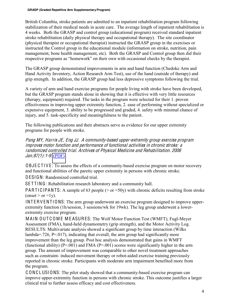British Columbia, stroke patients are admitted to an inpatient rehabilitation program following stabilization of their medical needs in acute care. The average length of inpatient rehabilitation is 4 weeks. Both the GRASP and control group (educational program) received standard inpatient stroke rehabilitation (daily physical therapy and occupational therapy). The site coordinator (physical therapist or occupational therapist) instructed the GRASP group in the exercises or instructed the Control group in the educational module (information on stroke, nutrition, pain management, bone health management, etc). Both the GRASP and Control group then did their respective programs as "homework" on their own with occasional checks by the therapist.

The GRASP group demonstrated improvements in arm and hand function (Chedoke Arm and Hand Activity Inventory, Action Research Arm Test), use of the hand (outside of therapy) and grip strength. In addition, the GRASP group had less depressive symptoms following the trial.

A variety of arm and hand exercise programs for people living with stroke have been developed, but the GRASP program stands alone in showing that it is effective with very little resources (therapy, equipment) required. The tasks in the program were selected for their 1. proven effectiveness in improving upper extremity function, 2. ease of performing without specialized or expensive equipment, 3. ability to be progressed and graded, 4. safety with minimal chance of injury, and 5. task-specificity and meaningfulness to the patient.

The following publications and their abstracts serve as evidence for our upper extremity programs for people with stroke.

Pang MY, Harri<sup>s</sup> JE, Eng JJ. A <sup>c</sup>ommunity-ba<sup>s</sup>ed upper-extremity group <sup>e</sup>xercis<sup>e</sup> program improve<sup>s</sup> motor function and performance <sup>o</sup>f functional <sup>a</sup>ctivitie<sup>s</sup> in <sup>c</sup>hroni<sup>c</sup> stroke: <sup>a</sup> randomized <sup>c</sup>ontrolled trial. Archive<sup>s</sup> <sup>o</sup>f Physical Medicin<sup>e</sup> and Rehabilitation. 2006 Jan;87(1):1-9. [\(PDF\)](http://www.ncbi.nlm.nih.gov/pmc/articles/PMC3123334/pdf/nihms1782.pdf)

OBJE C T IV E: To assess the effects of a community-based exercise program on motor recovery and functional abilities of the paretic upper extremity in persons with chronic stroke.

DESIGN: Randomized controlled trial.

SETTING: Rehabilitation research laboratory and a community hall.

PARTICIPANTS: A sample of 63 people ( $>$  or  $=$ 50y) with chronic deficits resulting from stroke  $($ onset > or =1y).

INT ERV ENT IONS: The arm group underwent an exercise program designed to improve upperextremity function (1h/session, 3 sessions/wk for 19wk). The leg group underwent a lowerextremity exercise program.

MAIN OUT COME MEASURES: The Wolf Motor Function Test (WMFT), Fugl-Meyer Assessment (FMA), hand-held dynamometry (grip strength), and the Motor Activity Log. RESULTS: Multivariate analysis showed a significant group by time interaction (Wilks lambda=.726,  $P=0.017$ ), indicating that overall, the arm group had significantly more improvement than the leg group. Post hoc analysis demonstrated that gains in WMFT (functional ability) ( $P=.001$ ) and FMA ( $P=.001$ ) scores were significantly higher in the arm group. The amount of improvement was comparable to other novel treatment approaches such as constraint- induced movement therapy or robot-aided exercise training previously reported in chronic stroke. Participants with moderate arm impairment benefited more from the program.

C ONC LUSIONS: The pilot study showed that a community-based exercise program can improve upper-extremity function in persons with chronic stroke. This outcome justifies a larger clinical trial to further assess efficacy and cost effectiveness.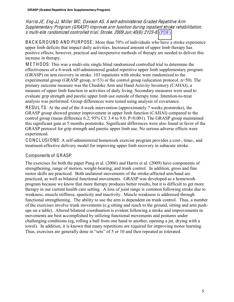Harri<sup>s</sup> JE, Eng JJ, Mille<sup>r</sup> WC, Dawson AS. A <sup>s</sup>elf-administered Graded Repetitiv<sup>e</sup> Arm Suppl<sup>e</sup>mentary Program (GRASP) improve<sup>s</sup> arm function during inpatient stroke <sup>r</sup>ehabilitation: <sup>a</sup> multi-sit<sup>e</sup> randomized <sup>c</sup>ontrolled <sup>t</sup>rial. Stroke. 2009 Jun;40(6):2123-8. [\(PDF\)](http://stroke.ahajournals.org/content/40/6/2123.full.pdf+html)

BAC K G R O UND AND PURPOSE: More than 70% of individuals who have a stroke experience upper limb deficits that impact daily activities. Increased amount of upper limb therapy has positive effects; however, practical and inexpensive methods of therapy are needed to deliver this increase in therapy.

M E T H ODS: This was a multi-site single blind randomized controlled trial to determine the effectiveness of a 4-week self-administered graded repetitive upper limb supplementary program (GRASP) on arm recovery in stroke. 103 inpatients with stroke were randomized to the experimental group (GRASP group,  $n=53$ ) or the control group (education protocol,  $n=50$ ). The primary outcome measure was the Chedoke Arm and Hand Activity Inventory (CAHAI), a measure of upper limb function in activities of daily living. Secondary measures were used to evaluate grip strength and paretic upper limb use outside of therapy time. Intention-to-treat analysis was performed. Group differences were tested using analysis of covariance.

RESUL TS: At the end of the 4-week intervention (approximately 7 weeks poststroke), the GRASP group showed greater improvement in upper limb function (CAHAI) compared to the control group (mean difference 6.2; 95% CI: 3.4 to 9.0; P<0.001). The GRASP group maintained this significant gain at 5 months poststroke. Significant differences were also found in favor of the GRASP protocol for grip strength and paretic upper limb use. No serious adverse effects were experienced.

C ONC LUSIONS: A self-administered homework exercise program provides a cost-, time-, and treatment-effective delivery model for improving upper limb recovery in subacute stroke.

#### <span id="page-5-0"></span>Components of GRASP

The exercises for both the paper Pang et al. (2006) and Harris et al. (2009) have components of strengthening, range of motion, weight-bearing, and trunk control. In addition, gross and fine motor skills are practiced. Both unilateral movements of the stroke-affected arm/hand are practiced, as well as bilateral functional movements. GRASP was developed as a homework program because we know that more therapy produces better results, but it is difficult to get more therapy in our current health care setting. A loss of joint range is common following stroke due to weakness, muscle stiffness, spasticity and inactivity. Muscle weakness is addressed through functional strengthening. The ability to use the arm is dependent on trunk control. Thus, a number of the exercises involve trunk movements (e.g sitting and reach to the ground, sitting and arm pushups on a table). Altered bilateral coordination is evident following a stroke and improvements in movements are best accomplished by utilizing functional movements and postures under challenging conditions (eg, rolling a ball from one hand to another, opening a jar, drying with a towel). In addition, it is known that many repetitions are required for improving motor learning. Thus, exercises are generally done in "sets" of 5 or 10 and then repeated as tolerated.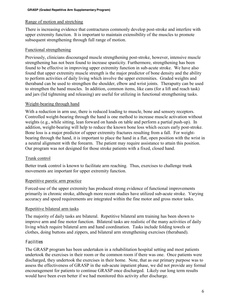#### Range of motion and stretching

There is increasing evidence that contractures commonly develop post-stroke and interfere with upper extremity function. It is important to maintain extensibility of the muscles to promote subsequent strengthening through full range of motion.

#### Functional strengthening

Previously, clinicians discouraged muscle strengthening post-stroke, however, intensive muscle strengthening has not been found to increase spasticity. Furthermore, strengthening has been found to be effective in improving upper extremity function in sub-acute stroke. We have also found that upper extremity muscle strength is the major predictor of bone density and the ability to perform activities of daily living which involve the upper extremities. Graded weights and theraband can be used to strengthen the shoulder, elbow and wrist joints. Theraputty can be used to strengthen the hand muscles. In addition, common items, like cans (for a lift and reach task) and jars (lid tightening and releasing) are useful for utilizing in functional strengthening tasks.

#### Weight-bearing through hand

With a reduction in arm use, there is reduced loading to muscle, bone and sensory receptors. Controlled weight-bearing through the hand is one method to increase muscle activation without weights (e.g., while sitting, lean forward on hands on table and perform a partial push-up). In addition, weight-bearing will help to reduce the known bone loss which occurs early post-stroke. Bone loss is a major predictor of upper extremity fractures resulting from a fall. For weightbearing through the hand, it is important to place the hand in a flat, open position with the wrist in a neutral alignment with the forearm. The patient may require assistance to attain this position. Our program was not designed for those stroke patients with a fixed, closed hand.

#### Trunk control

Better trunk control is known to facilitate arm reaching. Thus, exercises to challenge trunk movements are important for upper extremity function.

#### Repetitive paretic arm practice

Forced-use of the upper extremity has produced strong evidence of functional improvements primarily in chronic stroke, although more recent studies have utilized sub-acute stroke. Varying accuracy and speed requirements are integrated within the fine motor and gross motor tasks.

#### Repetitive bilateral arm tasks

The majority of daily tasks are bilateral. Repetitive bilateral arm training has been shown to improve arm and fine motor function. Bilateral tasks are realistic of the many activities of daily living which require bilateral arm and hand coordination. Tasks include folding towels or clothes, doing buttons and zippers, and bilateral arm strengthening exercises (theraband).

#### <span id="page-6-0"></span>Facilities

The GRASP program has been undertaken in a rehabilitation hospital setting and most patients undertook the exercises in their room or the common room if there was one. Once patients were discharged, they undertook the exercises in their home. Note, that as our primary purpose was to assess the effectiveness of GRASP in the sub-acute inpatient phase, we did not provide any formal encouragement for patients to continue GRASP once discharged. Likely our long term results would have been even better if we had monitored this activity after discharge.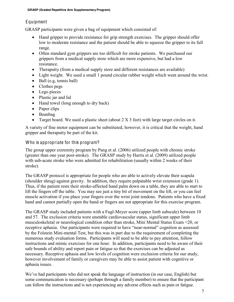#### <span id="page-7-0"></span>**Equipment**

GRASP participants were given a bag of equipment which consisted of:

- Hand gripper to provide resistance for grip strength exercises. The gripper should offer low to moderate resistance and the patient should be able to squeeze the gripper to its full range.
- Often standard gym grippers are too difficult for stroke patients. We purchased our grippers from a medical supply store which are more expensive, but had a low resistance.
- Theraputty (from a medical supply store and different resistances are available)
- Light weight. We used a small 1 pound circular rubber weight which went around the wrist.
- $\bullet$  Ball (e.g, tennis ball)
- $\bullet$  Clothes pegs
- $\bullet$  Lego pieces
- Plastic jar and lid
- $\bullet$  Hand towel (long enough to dry back)
- $\bullet$  Paper clips
- $\bullet$  Beanbag
- Target board. We used a plastic sheet (about  $2 \times 3$  feet) with large target circles on it.

A variety of fine motor equipment can be substituted, however, it is critical that the weight, hand gripper and theraputty be part of the kit.

#### <span id="page-7-1"></span>Who is appropriate for this program?

The group upper extremity program by Pang et al. (2006) utilized people with chronic stroke (greater than one year post-stroke). The GRASP study by Harris et al. (2009) utilized people with sub-acute stroke who were admitted for rehabilitation (usually within 2 weeks of their stroke).

The GRASP protocol is appropriate for people who are able to actively elevate their scapula (shoulder shrug) against gravity. In addition, they require palpatable wrist extension (grade 1). Thus, if the patient rests their stroke-affected hand palm down on a table, they are able to start to lift the fingers off the table. You may see just a tiny bit of movement on the lift, or you can feel muscle activation if you place your fingers over the wrist joint tendons. Patients who have a fixed hand and cannot partially open the hand or fingers are not appropriate for this exercise program.

The GRASP study included patients with a Fugl-Meyer score (upper limb subscale) between 10 and 57. The exclusion criteria were unstable cardiovascular status, significant upper limb musculoskeletal or neurological condition other than stroke, Mini Mental Status Exam <20, or receptive aphasia. Our participants were required to have "near-normal" cognition as assessed by the Folstein Mini-mental Test, but this was in part due to the requirement of completing the numerous study evaluation forms. Participants will need to be able to pay attention, follow instructions and mimic exercises for one hour. In addition, participants need to be aware of their safe bounds of ability and report pain or fatigue so that the exercises can be adjusted as necessary. Receptive aphasia and low levels of cognition were exclusion criteria for our study, however involvement of family or caregivers may be able to assist patient with cognitive or aphasia issues.

We've had participants who did not speak the language of instruction (in our case, English) but some communication is necessary (perhaps through a family member) to ensure that the participant can follow the instructions and is not experiencing any adverse effects such as pain or fatigue.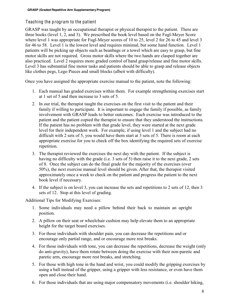#### <span id="page-8-0"></span>Teaching the program to the patient

GRASP was taught by an occupational therapist or physical therapist to the patient. There are three books (level 1, 2, and 3). We prescribed the book level based on the Fugl-Meyer Score where level 1 was appropriate for Fugl-Meyer scores of 10 to 25, level 2 for 26 to 45 and level 3 for 46 to 58. Level 1 is the lowest level and requires minimal, but some hand function. Level 1 patients will be picking up objects such as beanbags or a towel which are easy to grasp, but fine motor skills are not required. Gross motor skills where the two hands are clasped together are also practiced. Level 2 requires more graded control of hand grasp/release and fine motor skills. Level 3 has substantial fine motor tasks and patients should be able to grasp and release objects like clothes pegs, Lego Pieces and small blocks (albeit with difficulty).

Once you have assigned the appropriate exercise manual to the patient, note the following:

- 1. Each manual has graded exercises within them. For example strengthening exercises start at 1 set of 5 and then increase to 3 sets of 5.
- 2. In our trial, the therapist taught the exercises on the first visit to the patient and their family if willing to participate. It is important to engage the family if possible, as family involvement with GRASP leads to better outcomes. Each exercise was introduced to the patient and the patient copied the therapist to ensure that they understood the instructions. If the patient has no problem with that grade level, they were started at the next grade level for their independent work. For example, if using level 1 and the subject had no difficult with 2 sets of 5, you would have them start at 3 sets of 5. There is room at each appropriate exercise for you to check off the box identifying the required sets of exercise repetition.
- 3. The therapist reviewed the exercises the next day with the patient. If the subject is having no difficulty with the grade (i.e. 3 sets of 5) then raise it to the next grade, 2 sets of 8. Once the subject can do the final grade for the majority of the exercises (over 50%), the next exercise manual level should be given. After that, the therapist visited approximately once a week to check on the patient and progress the patient to the next book level if necessary.
- 4. If the subject is on level 3, you can increase the sets and repetitions to 2 sets of 12, then 3 sets of 12. Stop at this level of grading.

Additional Tips for Modifying Exercises:

- 1. Some individuals may need a pillow behind their back to maintain an upright position.
- 2. A pillow on their seat or wheelchair cushion may help elevate them to an appropriate height for the target board exercises.
- 3. For those individuals with shoulder pain, you can decrease the repetitions and or encourage only partial range, and or encourage more rest breaks.
- 4. For those individuals with tone, you can decrease the repetitions, decrease the weight (only do anti-gravity), have them rotate between doing the exercise with their non-paretic and paretic arm, encourage more rest breaks, and stretching.
- 5. For those with high tone in the hand and wrist, you could modify the gripping exercises by using a ball instead of the gripper, using a gripper with less resistance, or even have them open and close their hand.
- 6. For those individuals that are using major compensatory movements (i.e. shoulder hiking,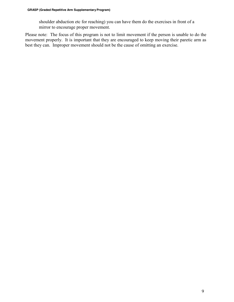shoulder abduction etc for reaching) you can have them do the exercises in front of a mirror to encourage proper movement.

Please note: The focus of this program is not to limit movement if the person is unable to do the movement properly. It is important that they are encouraged to keep moving their paretic arm as best they can. Improper movement should not be the cause of omitting an exercise.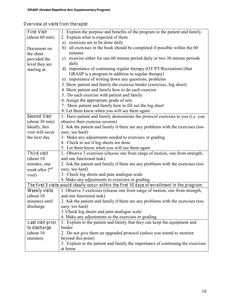### <span id="page-10-0"></span>Overview of visits from therapist

| <b>First Visit</b>                                                                            |                                                                                 |  |
|-----------------------------------------------------------------------------------------------|---------------------------------------------------------------------------------|--|
|                                                                                               | 1. Explain the purpose and benefits of the program to the patient and family.   |  |
| (about 60 min)                                                                                | 2. Explain what is expected of them                                             |  |
|                                                                                               | a) exercises are to be done daily                                               |  |
| Document on                                                                                   | b) all exercises in the book should be completed if possible within the 60      |  |
| the sheet                                                                                     | minutes                                                                         |  |
| provided the                                                                                  | exercise either for one 60 minute period daily or two 30 minute periods<br>c)   |  |
| level they are                                                                                | daily                                                                           |  |
| starting at.                                                                                  | d) importance of continuing regular therapy (OT/PT/Recreation) (that            |  |
|                                                                                               | GRASP is a program in addition to regular therapy)                              |  |
|                                                                                               | e) importance of writing down any questions, problems                           |  |
|                                                                                               | 3. Show patient and family the exercise binder (exercises, log sheet)           |  |
|                                                                                               | 4. Show patient and family how to do each exercise                              |  |
|                                                                                               | 5. Do each exercise with patient and family                                     |  |
|                                                                                               | 6. Assign the appropriate grade of sets.                                        |  |
|                                                                                               | 7. Show patient and family how to fill out the log sheet                        |  |
|                                                                                               | 8. Let them know when you will see them again                                   |  |
| Second Visit                                                                                  | 1. Have patient and family demonstrate the protocol exercises to you (i.e. you  |  |
| (about 30 min)                                                                                | observe their exercise session)                                                 |  |
| Ideally, this                                                                                 | 2. Ask the patient and family if there are any problems with the exercises (too |  |
| visit will occur                                                                              | easy, too hard)                                                                 |  |
| the next day                                                                                  | 3. Make any adjustments needed to exercises or grading                          |  |
|                                                                                               |                                                                                 |  |
|                                                                                               | 4. Check to see if log sheets are done                                          |  |
| Third visit                                                                                   | 5. Let them know when you will see them again                                   |  |
|                                                                                               | 1. Observe 3 exercises (choose one from range of motion, one from strength,     |  |
| (about 10)                                                                                    | and one functional task)                                                        |  |
| minutes, one                                                                                  | 2. Ask the patient and family if there are any problems with the exercises (too |  |
| week after $2^{nd}$                                                                           | easy, too hard)                                                                 |  |
| visit)                                                                                        | 3. Check log sheets and pain analogue scale                                     |  |
|                                                                                               | 4. Make any adjustments to exercises or grading.                                |  |
| The first 3 visits would ideally occur within the first 10 days of enrollment in the program. |                                                                                 |  |
| Weekly visits                                                                                 | 1. Observe 3 exercises (choose one from range of motion, one from strength,     |  |
| (about 10)                                                                                    | and one functional task)                                                        |  |
| minutes) until                                                                                | 2. Ask the patient and family if there are any problems with the exercises (too |  |
| discharge                                                                                     | easy, too hard)                                                                 |  |
|                                                                                               | 3. Check log sheets and pain analogue scale                                     |  |
|                                                                                               | 4. Make any adjustments to the exercises or grading.                            |  |
| Last visit prior                                                                              | 1. Explain to the patient and family that they can keep the equipment and       |  |
| to discharge                                                                                  | binder                                                                          |  |
| (about 10)                                                                                    | 2. Do not give them an upgraded protocol (unless you intend to monitor          |  |
| minutes)                                                                                      | beyond this point)                                                              |  |
|                                                                                               | 3. Explain to the patient and family the importance of continuing the exercises |  |
|                                                                                               | at home                                                                         |  |
|                                                                                               |                                                                                 |  |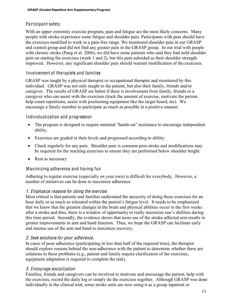#### <span id="page-11-0"></span>Participant safety

With an upper extremity exercise program, pain and fatigue are the most likely concerns. Many people with stroke experience some fatigue and shoulder pain. Participants with pain should have the exercises modified to work in a pain-free range. We monitored shoulder pain in our GRASP and control group and did not find any greater pain in the GRASP group. In our trial with people with chronic stroke (Pang et al. 2006), we did have some patients who said they had mild shoulder pain on starting the exercises (week 1 and 2), but this pain subsided as their shoulder strength improved. However, any significant shoulder pain should warrant modification of the exercises.

#### <span id="page-11-1"></span>Involvement of therapists and families

GRASP was taught by a physical therapist or occupational therapist and monitored by this individual. GRASP was not only taught to the patient, but also their family, friends and/or caregiver. The results of GRASP are better if there is involvement from family, friends or a caregiver who can assist with the exercises (track the amount of exercise, motivate the person, help count repetitions, assist with positioning equipment like the target board, etc). We encourage a family member to participate as much as possible in a positive manner.

#### <span id="page-11-2"></span>Individualization and progression

- The program is designed to require minimal "hands-on" assistance to encourage independent ability.
- Exercises are graded in their levels and progressed according to ability.
- Check regularly for any pain. Shoulder pain is common post-stroke and modifications may be required for the reaching exercises to ensure they are performed below shoulder height.
- Rest as necessary

#### <span id="page-11-3"></span>Maximizing adherence and having fun

Adhering to regular exercise (especially on your own) is difficult for everybody. However, a number of initiatives can be done to maximize adherence.

#### 1. Emphasiz<sup>e</sup> <sup>r</sup>eason<sup>s</sup> for doing th<sup>e</sup> <sup>e</sup>xercise.

Most critical is that patients and families understand the necessity of doing these exercises for an hour daily or as much as tolerated within the patient's fatigue level. It needs to be emphasized that we know that the greatest changes in the brain and physical abilities occur in the first weeks after a stroke and thus, there is a window of opportunity to really maximize one's abilities during this time period. Secondly, the evidence shows that more use of the stroke-affected arm results in greater improvements in arm and hand function. Thus, we hope the GRASP can facilitate early and intense use of the arm and hand to maximize recovery.

#### 2. Seek <sup>s</sup>olution<sup>s</sup> for poor adherence.

In cases of poor adherence (participating in less than half of the required time), the therapist should explore reasons behind the non-adherence with the patient to determine whether there are solutions to these problems (e.g., patient and family require clarification of the exercises, equipment adaptation is required to complete the task).

#### 3. Encourag<sup>e</sup> <sup>s</sup>ocialization

Families, friends and caregivers can be involved to motivate and encourage the patient, help with the exercises, record the daily log or simply do the exercises together. Although GRASP was done individually in the clinical trial, some stroke units are now using it as a group inpatient or